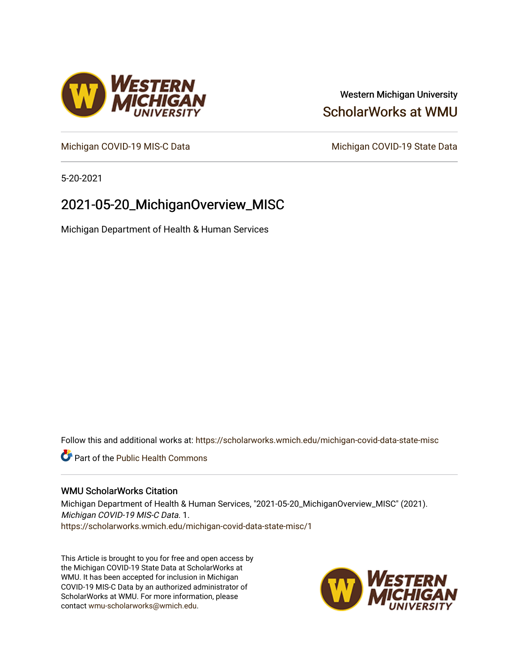## Western Michigan University [ScholarWorks at WMU](https://scholarworks.wmich.edu/)

[Michigan COVID-19 MIS-C Data](https://scholarworks.wmich.edu/michigan-covid-data-state-misc) Michigan COVID-19 State Data

5-20-2021

## 2021-05-20\_MichiganOverview\_MISC

Michigan Department of Health & Human Services

Follow this and additional works at: [https://scholarworks.wmich.edu/michigan-covid-data-state-misc](https://scholarworks.wmich.edu/michigan-covid-data-state-misc?utm_source=scholarworks.wmich.edu%2Fmichigan-covid-data-state-misc%2F1&utm_medium=PDF&utm_campaign=PDFCoverPages) 

**Part of the Public Health Commons** 

#### WMU ScholarWorks Citation

Michigan Department of Health & Human Services, "2021-05-20\_MichiganOverview\_MISC" (2021). Michigan COVID-19 MIS-C Data. 1. [https://scholarworks.wmich.edu/michigan-covid-data-state-misc/1](https://scholarworks.wmich.edu/michigan-covid-data-state-misc/1?utm_source=scholarworks.wmich.edu%2Fmichigan-covid-data-state-misc%2F1&utm_medium=PDF&utm_campaign=PDFCoverPages) 

This Article is brought to you for free and open access by the Michigan COVID-19 State Data at ScholarWorks at WMU. It has been accepted for inclusion in Michigan COVID-19 MIS-C Data by an authorized administrator of ScholarWorks at WMU. For more information, please contact [wmu-scholarworks@wmich.edu](mailto:wmu-scholarworks@wmich.edu).



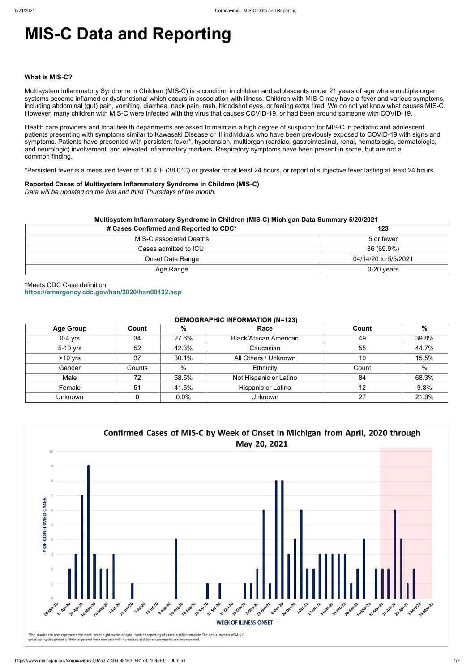# **MIS-C Data and Reporting**

#### **What is MIS-C?**

Multisystem Inflammatory Syndrome in Children (MIS-C) is a condition in children and adolescents under 21 years of age where multiple organ systems become inflamed or dysfunctional which occurs in association with illness. Children with MIS-C may have a fever and various symptoms, including abdominal (gut) pain, vomiting, diarrhea, neck pain, rash, bloodshot eyes, or feeling extra tired. We do not yet know what causes MIS-C. However, many children with MIS-C were infected with the virus that causes COVID-19, or had been around someone with COVID-19.

Health care providers and local health departments are asked to maintain a high degree of suspicion for MIS-C in pediatric and adolescent patients presenting with symptoms similar to Kawasaki Disease or ill individuals who have been previously exposed to COVID-19 with signs and symptoms. Patients have presented with persistent fever\*, hypotension, multiorgan (cardiac, gastrointestinal, renal, hematologic, dermatologic, and neurologic) involvement, and elevated inflammatory markers. Respiratory symptoms have been present in some, but are not a common finding.

\*Persistent fever is a measured fever of 100.4°F (38.0°C) or greater for at least 24 hours, or report of subjective fever lasting at least 24 hours.

#### **Reported Cases of Multisystem Inflammatory Syndrome in Children (MIS-C)**

*Data will be updated on the first and third Thursdays of the month.*

| Multisystem Inflammatory Syndrome in Children (MIS-C) Michigan Data Summary 5/20/2021 |                      |  |  |  |
|---------------------------------------------------------------------------------------|----------------------|--|--|--|
| # Cases Confirmed and Reported to CDC*                                                | 123                  |  |  |  |
| MIS-C associated Deaths                                                               | 5 or fewer           |  |  |  |
| Cases admitted to ICU                                                                 | 86 (69.9%)           |  |  |  |
| Onset Date Range                                                                      | 04/14/20 to 5/5/2021 |  |  |  |
| Age Range                                                                             | $0-20$ years         |  |  |  |

\*Meets CDC Case definition **<https://emergency.cdc.gov/han/2020/han00432.asp>**

#### **DEMOGRAPHIC INFORMATION (N=123)**

| <b>Age Group</b> | Count  | %     | Race                          | Count | $\%$          |
|------------------|--------|-------|-------------------------------|-------|---------------|
| $0-4$ yrs        | 34     | 27.6% | <b>Black/African American</b> | 49    | 39.8%         |
| 5-10 yrs         | 52     | 42.3% | Caucasian                     | 55    | 44.7%         |
| $>10$ yrs        | 37     | 30.1% | All Others / Unknown          | 19    | 15.5%         |
| Gender           | Counts | %     | Ethnicity                     | Count | $\frac{0}{0}$ |
| Male             | 72     | 58.5% | Not Hispanic or Latino        | 84    | 68.3%         |
| Female           | 51     | 41.5% | Hispanic or Latino            | 12    | 9.8%          |
| <b>Unknown</b>   |        | 0.0%  | <b>Unknown</b>                | 27    | 21.9%         |